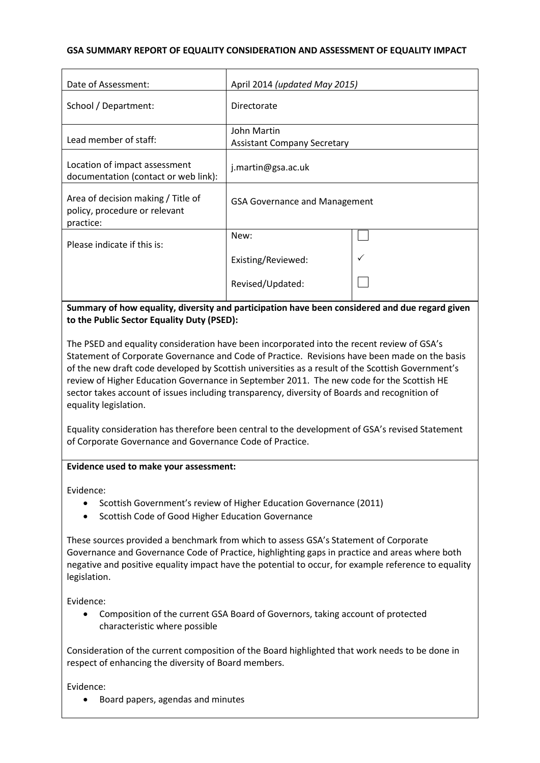#### **GSA SUMMARY REPORT OF EQUALITY CONSIDERATION AND ASSESSMENT OF EQUALITY IMPACT**

| Date of Assessment:                                                              | April 2014 (updated May 2015)                     |  |
|----------------------------------------------------------------------------------|---------------------------------------------------|--|
| School / Department:                                                             | Directorate                                       |  |
| Lead member of staff:                                                            | John Martin<br><b>Assistant Company Secretary</b> |  |
| Location of impact assessment<br>documentation (contact or web link):            | j.martin@gsa.ac.uk                                |  |
| Area of decision making / Title of<br>policy, procedure or relevant<br>practice: | <b>GSA Governance and Management</b>              |  |
| Please indicate if this is:                                                      | New:                                              |  |
|                                                                                  | Existing/Reviewed:                                |  |
|                                                                                  | Revised/Updated:                                  |  |

### **Summary of how equality, diversity and participation have been considered and due regard given to the Public Sector Equality Duty (PSED):**

The PSED and equality consideration have been incorporated into the recent review of GSA's Statement of Corporate Governance and Code of Practice. Revisions have been made on the basis of the new draft code developed by Scottish universities as a result of the Scottish Government's review of Higher Education Governance in September 2011. The new code for the Scottish HE sector takes account of issues including transparency, diversity of Boards and recognition of equality legislation.

Equality consideration has therefore been central to the development of GSA's revised Statement of Corporate Governance and Governance Code of Practice.

## **Evidence used to make your assessment:**

Evidence:

- Scottish Government's review of Higher Education Governance (2011)
- Scottish Code of Good Higher Education Governance

These sources provided a benchmark from which to assess GSA's Statement of Corporate Governance and Governance Code of Practice, highlighting gaps in practice and areas where both negative and positive equality impact have the potential to occur, for example reference to equality legislation.

Evidence:

 Composition of the current GSA Board of Governors, taking account of protected characteristic where possible

Consideration of the current composition of the Board highlighted that work needs to be done in respect of enhancing the diversity of Board members.

Evidence:

Board papers, agendas and minutes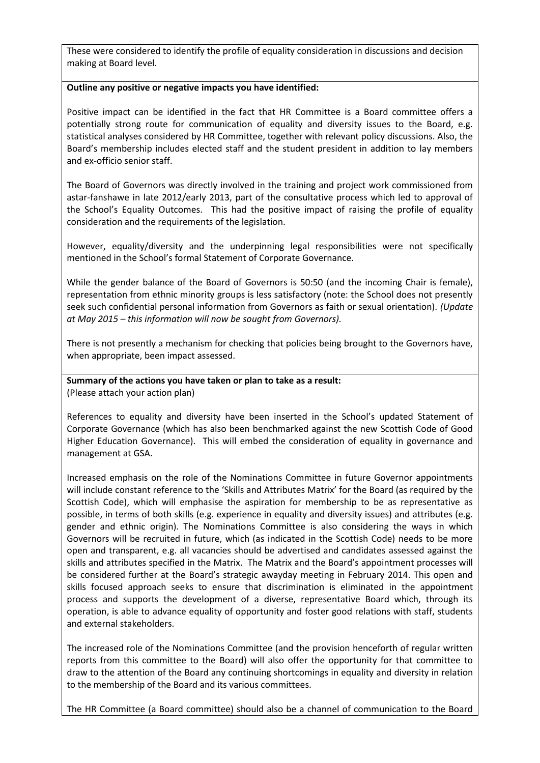These were considered to identify the profile of equality consideration in discussions and decision making at Board level.

#### **Outline any positive or negative impacts you have identified:**

Positive impact can be identified in the fact that HR Committee is a Board committee offers a potentially strong route for communication of equality and diversity issues to the Board, e.g. statistical analyses considered by HR Committee, together with relevant policy discussions. Also, the Board's membership includes elected staff and the student president in addition to lay members and ex-officio senior staff.

The Board of Governors was directly involved in the training and project work commissioned from astar-fanshawe in late 2012/early 2013, part of the consultative process which led to approval of the School's Equality Outcomes. This had the positive impact of raising the profile of equality consideration and the requirements of the legislation.

However, equality/diversity and the underpinning legal responsibilities were not specifically mentioned in the School's formal Statement of Corporate Governance.

While the gender balance of the Board of Governors is 50:50 (and the incoming Chair is female), representation from ethnic minority groups is less satisfactory (note: the School does not presently seek such confidential personal information from Governors as faith or sexual orientation). *(Update at May 2015 – this information will now be sought from Governors).*

There is not presently a mechanism for checking that policies being brought to the Governors have, when appropriate, been impact assessed.

**Summary of the actions you have taken or plan to take as a result:**

(Please attach your action plan)

References to equality and diversity have been inserted in the School's updated Statement of Corporate Governance (which has also been benchmarked against the new Scottish Code of Good Higher Education Governance). This will embed the consideration of equality in governance and management at GSA.

Increased emphasis on the role of the Nominations Committee in future Governor appointments will include constant reference to the 'Skills and Attributes Matrix' for the Board (as required by the Scottish Code), which will emphasise the aspiration for membership to be as representative as possible, in terms of both skills (e.g. experience in equality and diversity issues) and attributes (e.g. gender and ethnic origin). The Nominations Committee is also considering the ways in which Governors will be recruited in future, which (as indicated in the Scottish Code) needs to be more open and transparent, e.g. all vacancies should be advertised and candidates assessed against the skills and attributes specified in the Matrix. The Matrix and the Board's appointment processes will be considered further at the Board's strategic awayday meeting in February 2014. This open and skills focused approach seeks to ensure that discrimination is eliminated in the appointment process and supports the development of a diverse, representative Board which, through its operation, is able to advance equality of opportunity and foster good relations with staff, students and external stakeholders.

The increased role of the Nominations Committee (and the provision henceforth of regular written reports from this committee to the Board) will also offer the opportunity for that committee to draw to the attention of the Board any continuing shortcomings in equality and diversity in relation to the membership of the Board and its various committees.

The HR Committee (a Board committee) should also be a channel of communication to the Board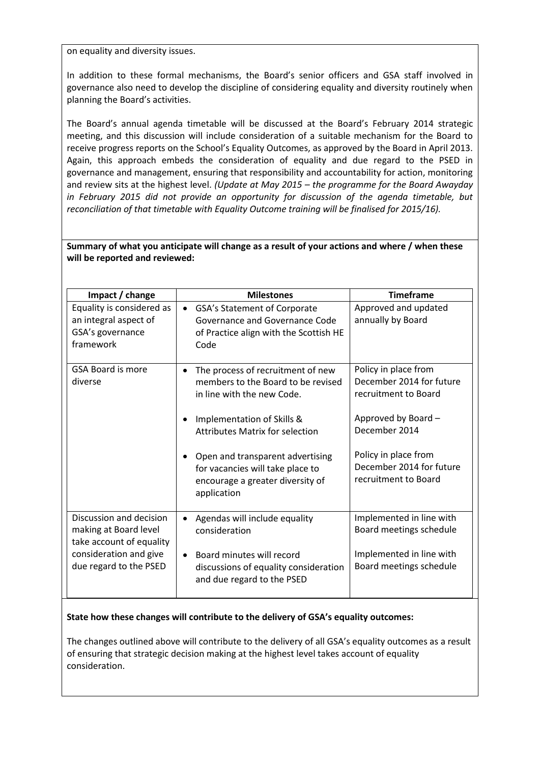on equality and diversity issues.

In addition to these formal mechanisms, the Board's senior officers and GSA staff involved in governance also need to develop the discipline of considering equality and diversity routinely when planning the Board's activities.

The Board's annual agenda timetable will be discussed at the Board's February 2014 strategic meeting, and this discussion will include consideration of a suitable mechanism for the Board to receive progress reports on the School's Equality Outcomes, as approved by the Board in April 2013. Again, this approach embeds the consideration of equality and due regard to the PSED in governance and management, ensuring that responsibility and accountability for action, monitoring and review sits at the highest level. *(Update at May 2015 – the programme for the Board Awayday in February 2015 did not provide an opportunity for discussion of the agenda timetable, but reconciliation of that timetable with Equality Outcome training will be finalised for 2015/16).*

#### **Summary of what you anticipate will change as a result of your actions and where / when these will be reported and reviewed:**

| Impact / change                                                                                                                  | <b>Milestones</b>                                                                                                       | <b>Timeframe</b>                                                         |
|----------------------------------------------------------------------------------------------------------------------------------|-------------------------------------------------------------------------------------------------------------------------|--------------------------------------------------------------------------|
| Equality is considered as<br>an integral aspect of<br>GSA's governance<br>framework                                              | <b>GSA's Statement of Corporate</b><br>Governance and Governance Code<br>of Practice align with the Scottish HE<br>Code | Approved and updated<br>annually by Board                                |
| <b>GSA Board is more</b><br>diverse                                                                                              | The process of recruitment of new<br>$\bullet$<br>members to the Board to be revised<br>in line with the new Code.      | Policy in place from<br>December 2014 for future<br>recruitment to Board |
|                                                                                                                                  | Implementation of Skills &<br><b>Attributes Matrix for selection</b>                                                    | Approved by Board -<br>December 2014                                     |
|                                                                                                                                  | Open and transparent advertising<br>for vacancies will take place to<br>encourage a greater diversity of<br>application | Policy in place from<br>December 2014 for future<br>recruitment to Board |
| Discussion and decision<br>making at Board level<br>take account of equality<br>consideration and give<br>due regard to the PSED | Agendas will include equality<br>consideration                                                                          | Implemented in line with<br>Board meetings schedule                      |
|                                                                                                                                  | Board minutes will record<br>$\bullet$<br>discussions of equality consideration<br>and due regard to the PSED           | Implemented in line with<br>Board meetings schedule                      |

## **State how these changes will contribute to the delivery of GSA's equality outcomes:**

The changes outlined above will contribute to the delivery of all GSA's equality outcomes as a result of ensuring that strategic decision making at the highest level takes account of equality consideration.